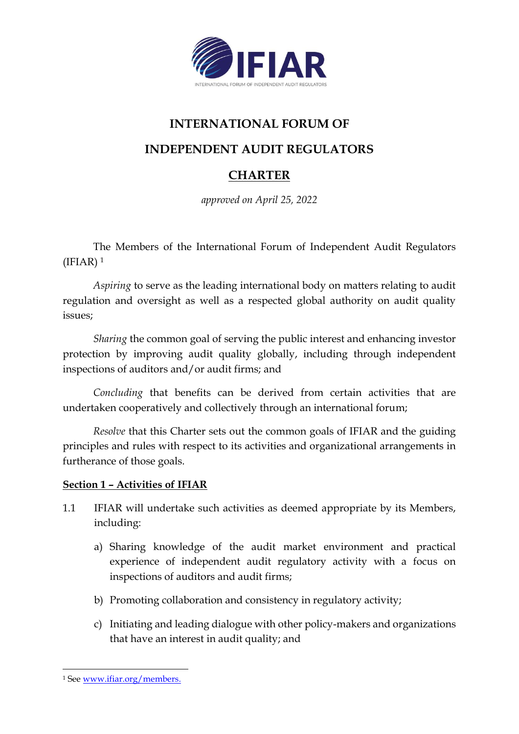

# **INTERNATIONAL FORUM OF**

**INDEPENDENT AUDIT REGULATORS**

## **CHARTER**

*approved on April 25, 2022*

The Members of the International Forum of Independent Audit Regulators  $(IFIAR)<sup>1</sup>$ 

*Aspiring* to serve as the leading international body on matters relating to audit regulation and oversight as well as a respected global authority on audit quality issues;

*Sharing* the common goal of serving the public interest and enhancing investor protection by improving audit quality globally, including through independent inspections of auditors and/or audit firms; and

*Concluding* that benefits can be derived from certain activities that are undertaken cooperatively and collectively through an international forum;

*Resolve* that this Charter sets out the common goals of IFIAR and the guiding principles and rules with respect to its activities and organizational arrangements in furtherance of those goals.

## **Section 1 – Activities of IFIAR**

- 1.1 IFIAR will undertake such activities as deemed appropriate by its Members, including:
	- a) Sharing knowledge of the audit market environment and practical experience of independent audit regulatory activity with a focus on inspections of auditors and audit firms;
	- b) Promoting collaboration and consistency in regulatory activity;
	- c) Initiating and leading dialogue with other policy-makers and organizations that have an interest in audit quality; and

<sup>1</sup> See [www.ifiar.org/members.](http://www.ifiar.org/members)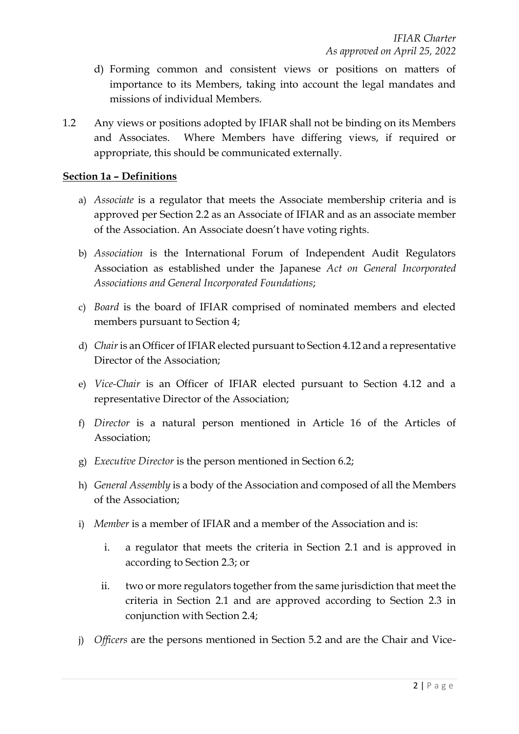- d) Forming common and consistent views or positions on matters of importance to its Members, taking into account the legal mandates and missions of individual Members.
- 1.2 Any views or positions adopted by IFIAR shall not be binding on its Members and Associates. Where Members have differing views, if required or appropriate, this should be communicated externally.

## **Section 1a – Definitions**

- a) *Associate* is a regulator that meets the Associate membership criteria and is approved per Section 2.2 as an Associate of IFIAR and as an associate member of the Association. An Associate doesn't have voting rights.
- b) *Association* is the International Forum of Independent Audit Regulators Association as established under the Japanese *Act on General Incorporated Associations and General Incorporated Foundations*;
- c) *Board* is the board of IFIAR comprised of nominated members and elected members pursuant to Section 4;
- d) *Chair* is an Officer of IFIAR elected pursuant to Section 4.12 and a representative Director of the Association;
- e) *Vice-Chair* is an Officer of IFIAR elected pursuant to Section 4.12 and a representative Director of the Association;
- f) *Director* is a natural person mentioned in Article 16 of the Articles of Association;
- g) *Executive Director* is the person mentioned in Section 6.2;
- h) *General Assembly* is a body of the Association and composed of all the Members of the Association;
- i) *Member* is a member of IFIAR and a member of the Association and is:
	- i. a regulator that meets the criteria in Section 2.1 and is approved in according to Section 2.3; or
	- ii. two or more regulators together from the same jurisdiction that meet the criteria in Section 2.1 and are approved according to Section 2.3 in conjunction with Section 2.4;
- j) *Officers* are the persons mentioned in Section 5.2 and are the Chair and Vice-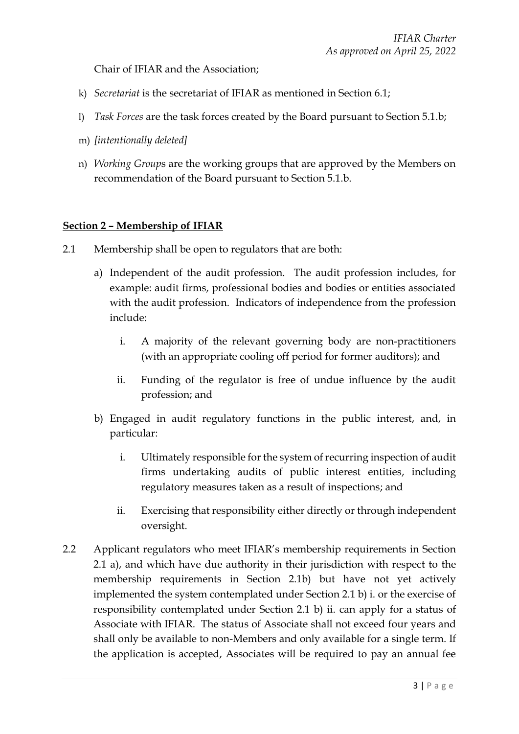Chair of IFIAR and the Association;

- k) *Secretariat* is the secretariat of IFIAR as mentioned in Section 6.1;
- l) *Task Forces* are the task forces created by the Board pursuant to Section 5.1.b;
- m) *[intentionally deleted]*
- n) *Working Group*s are the working groups that are approved by the Members on recommendation of the Board pursuant to Section 5.1.b.

## **Section 2 – Membership of IFIAR**

- 2.1 Membership shall be open to regulators that are both:
	- a) Independent of the audit profession. The audit profession includes, for example: audit firms, professional bodies and bodies or entities associated with the audit profession. Indicators of independence from the profession include:
		- i. A majority of the relevant governing body are non-practitioners (with an appropriate cooling off period for former auditors); and
		- ii. Funding of the regulator is free of undue influence by the audit profession; and
	- b) Engaged in audit regulatory functions in the public interest, and, in particular:
		- i. Ultimately responsible for the system of recurring inspection of audit firms undertaking audits of public interest entities, including regulatory measures taken as a result of inspections; and
		- ii. Exercising that responsibility either directly or through independent oversight.
- 2.2 Applicant regulators who meet IFIAR's membership requirements in Section 2.1 a), and which have due authority in their jurisdiction with respect to the membership requirements in Section 2.1b) but have not yet actively implemented the system contemplated under Section 2.1 b) i. or the exercise of responsibility contemplated under Section 2.1 b) ii. can apply for a status of Associate with IFIAR. The status of Associate shall not exceed four years and shall only be available to non-Members and only available for a single term. If the application is accepted, Associates will be required to pay an annual fee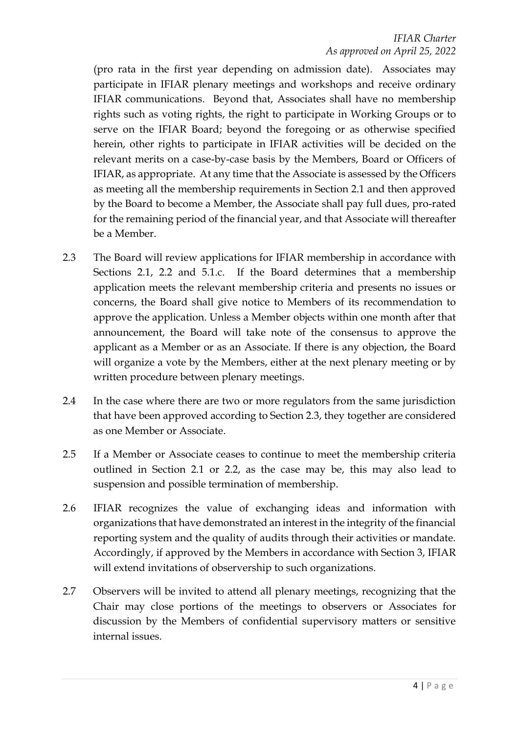(pro rata in the first year depending on admission date). Associates may participate in IFIAR plenary meetings and workshops and receive ordinary IFIAR communications. Beyond that, Associates shall have no membership rights such as voting rights, the right to participate in Working Groups or to serve on the IFIAR Board; beyond the foregoing or as otherwise specified herein, other rights to participate in IFIAR activities will be decided on the relevant merits on a case-by-case basis by the Members, Board or Officers of IFIAR, as appropriate. At any time that the Associate is assessed by the Officers as meeting all the membership requirements in Section 2.1 and then approved by the Board to become a Member, the Associate shall pay full dues, pro-rated for the remaining period of the financial year, and that Associate will thereafter be a Member.

- 2.3 The Board will review applications for IFIAR membership in accordance with Sections 2.1, 2.2 and 5.1.c. If the Board determines that a membership application meets the relevant membership criteria and presents no issues or concerns, the Board shall give notice to Members of its recommendation to approve the application. Unless a Member objects within one month after that announcement, the Board will take note of the consensus to approve the applicant as a Member or as an Associate. If there is any objection, the Board will organize a vote by the Members, either at the next plenary meeting or by written procedure between plenary meetings.
- 2.4 In the case where there are two or more regulators from the same jurisdiction that have been approved according to Section 2.3, they together are considered as one Member or Associate.
- 2.5 If a Member or Associate ceases to continue to meet the membership criteria outlined in Section 2.1 or 2.2, as the case may be, this may also lead to suspension and possible termination of membership.
- 2.6 IFIAR recognizes the value of exchanging ideas and information with organizations that have demonstrated an interest in the integrity of the financial reporting system and the quality of audits through their activities or mandate. Accordingly, if approved by the Members in accordance with Section 3, IFIAR will extend invitations of observership to such organizations.
- 2.7 Observers will be invited to attend all plenary meetings, recognizing that the Chair may close portions of the meetings to observers or Associates for discussion by the Members of confidential supervisory matters or sensitive internal issues.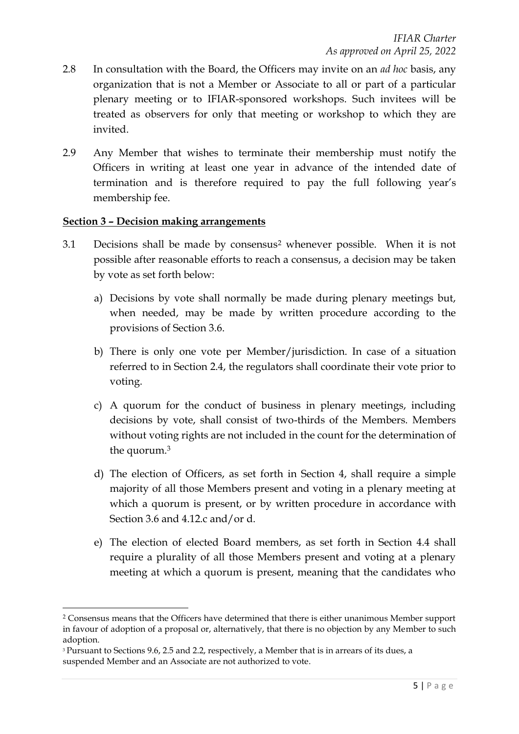- 2.8 In consultation with the Board, the Officers may invite on an *ad hoc* basis, any organization that is not a Member or Associate to all or part of a particular plenary meeting or to IFIAR-sponsored workshops. Such invitees will be treated as observers for only that meeting or workshop to which they are invited.
- 2.9 Any Member that wishes to terminate their membership must notify the Officers in writing at least one year in advance of the intended date of termination and is therefore required to pay the full following year's membership fee.

#### **Section 3 – Decision making arrangements**

- 3.1 Decisions shall be made by consensus<sup>2</sup> whenever possible. When it is not possible after reasonable efforts to reach a consensus, a decision may be taken by vote as set forth below:
	- a) Decisions by vote shall normally be made during plenary meetings but, when needed, may be made by written procedure according to the provisions of Section 3.6.
	- b) There is only one vote per Member/jurisdiction. In case of a situation referred to in Section 2.4, the regulators shall coordinate their vote prior to voting.
	- c) A quorum for the conduct of business in plenary meetings, including decisions by vote, shall consist of two-thirds of the Members. Members without voting rights are not included in the count for the determination of the quorum.<sup>3</sup>
	- d) The election of Officers, as set forth in Section 4, shall require a simple majority of all those Members present and voting in a plenary meeting at which a quorum is present, or by written procedure in accordance with Section 3.6 and 4.12.c and/or d.
	- e) The election of elected Board members, as set forth in Section 4.4 shall require a plurality of all those Members present and voting at a plenary meeting at which a quorum is present, meaning that the candidates who

<sup>2</sup> Consensus means that the Officers have determined that there is either unanimous Member support in favour of adoption of a proposal or, alternatively, that there is no objection by any Member to such adoption.

<sup>&</sup>lt;sup>3</sup> Pursuant to Sections 9.6, 2.5 and 2.2, respectively, a Member that is in arrears of its dues, a suspended Member and an Associate are not authorized to vote.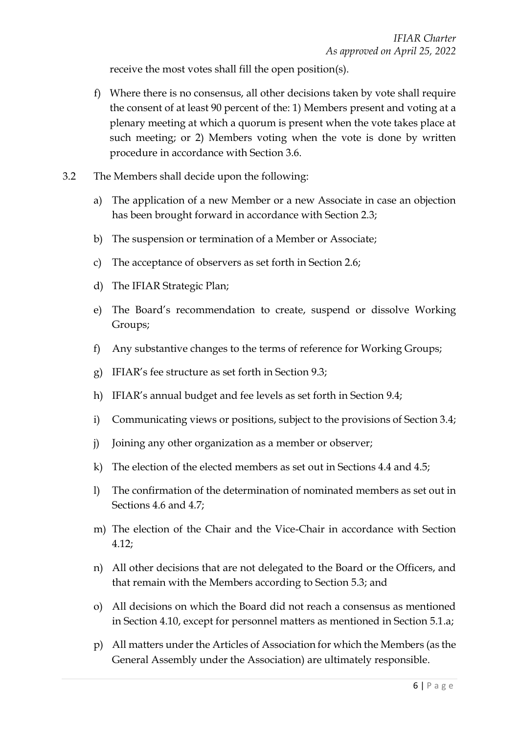receive the most votes shall fill the open position(s).

- f) Where there is no consensus, all other decisions taken by vote shall require the consent of at least 90 percent of the: 1) Members present and voting at a plenary meeting at which a quorum is present when the vote takes place at such meeting; or 2) Members voting when the vote is done by written procedure in accordance with Section 3.6.
- 3.2 The Members shall decide upon the following:
	- a) The application of a new Member or a new Associate in case an objection has been brought forward in accordance with Section 2.3;
	- b) The suspension or termination of a Member or Associate;
	- c) The acceptance of observers as set forth in Section 2.6;
	- d) The IFIAR Strategic Plan;
	- e) The Board's recommendation to create, suspend or dissolve Working Groups;
	- f) Any substantive changes to the terms of reference for Working Groups;
	- g) IFIAR's fee structure as set forth in Section 9.3;
	- h) IFIAR's annual budget and fee levels as set forth in Section 9.4;
	- i) Communicating views or positions, subject to the provisions of Section 3.4;
	- j) Joining any other organization as a member or observer;
	- k) The election of the elected members as set out in Sections 4.4 and 4.5;
	- l) The confirmation of the determination of nominated members as set out in Sections 4.6 and 4.7;
	- m) The election of the Chair and the Vice-Chair in accordance with Section 4.12;
	- n) All other decisions that are not delegated to the Board or the Officers, and that remain with the Members according to Section 5.3; and
	- o) All decisions on which the Board did not reach a consensus as mentioned in Section 4.10, except for personnel matters as mentioned in Section 5.1.a;
	- p) All matters under the Articles of Association for which the Members (as the General Assembly under the Association) are ultimately responsible.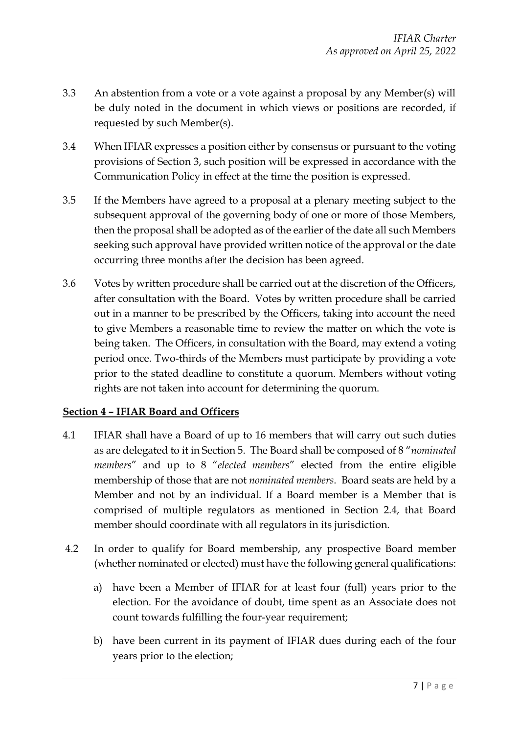- 3.3 An abstention from a vote or a vote against a proposal by any Member(s) will be duly noted in the document in which views or positions are recorded, if requested by such Member(s).
- 3.4 When IFIAR expresses a position either by consensus or pursuant to the voting provisions of Section 3, such position will be expressed in accordance with the Communication Policy in effect at the time the position is expressed.
- 3.5 If the Members have agreed to a proposal at a plenary meeting subject to the subsequent approval of the governing body of one or more of those Members, then the proposal shall be adopted as of the earlier of the date all such Members seeking such approval have provided written notice of the approval or the date occurring three months after the decision has been agreed.
- 3.6 Votes by written procedure shall be carried out at the discretion of the Officers, after consultation with the Board. Votes by written procedure shall be carried out in a manner to be prescribed by the Officers, taking into account the need to give Members a reasonable time to review the matter on which the vote is being taken. The Officers, in consultation with the Board, may extend a voting period once. Two-thirds of the Members must participate by providing a vote prior to the stated deadline to constitute a quorum. Members without voting rights are not taken into account for determining the quorum.

## **Section 4 – IFIAR Board and Officers**

- 4.1 IFIAR shall have a Board of up to 16 members that will carry out such duties as are delegated to it in Section 5. The Board shall be composed of 8 "*nominated members*" and up to 8 "*elected members*" elected from the entire eligible membership of those that are not *nominated members*. Board seats are held by a Member and not by an individual. If a Board member is a Member that is comprised of multiple regulators as mentioned in Section 2.4, that Board member should coordinate with all regulators in its jurisdiction.
- 4.2 In order to qualify for Board membership, any prospective Board member (whether nominated or elected) must have the following general qualifications:
	- a) have been a Member of IFIAR for at least four (full) years prior to the election. For the avoidance of doubt, time spent as an Associate does not count towards fulfilling the four-year requirement;
	- b) have been current in its payment of IFIAR dues during each of the four years prior to the election;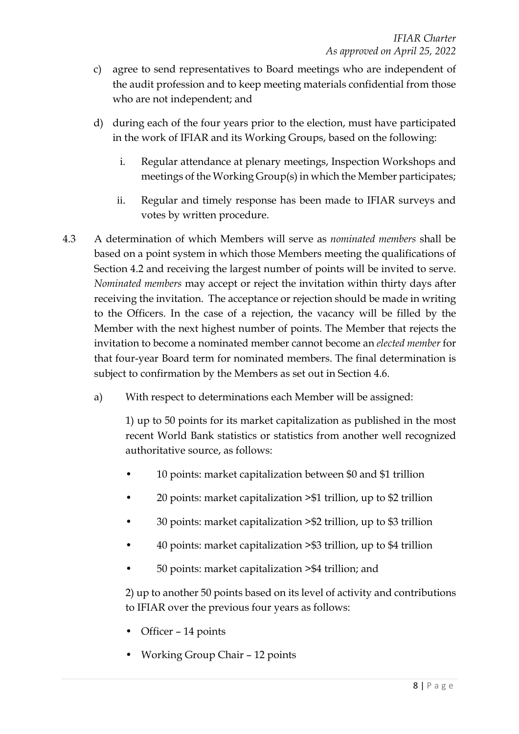- c) agree to send representatives to Board meetings who are independent of the audit profession and to keep meeting materials confidential from those who are not independent; and
- d) during each of the four years prior to the election, must have participated in the work of IFIAR and its Working Groups, based on the following:
	- i. Regular attendance at plenary meetings, Inspection Workshops and meetings of the Working Group(s) in which the Member participates;
	- ii. Regular and timely response has been made to IFIAR surveys and votes by written procedure.
- 4.3 A determination of which Members will serve as *nominated members* shall be based on a point system in which those Members meeting the qualifications of Section 4.2 and receiving the largest number of points will be invited to serve. *Nominated members* may accept or reject the invitation within thirty days after receiving the invitation. The acceptance or rejection should be made in writing to the Officers. In the case of a rejection, the vacancy will be filled by the Member with the next highest number of points. The Member that rejects the invitation to become a nominated member cannot become an *elected member* for that four-year Board term for nominated members. The final determination is subject to confirmation by the Members as set out in Section 4.6.
	- a) With respect to determinations each Member will be assigned:

1) up to 50 points for its market capitalization as published in the most recent World Bank statistics or statistics from another well recognized authoritative source, as follows:

- 10 points: market capitalization between \$0 and \$1 trillion
- 20 points: market capitalization >\$1 trillion, up to \$2 trillion
- 30 points: market capitalization >\$2 trillion, up to \$3 trillion
- 40 points: market capitalization >\$3 trillion, up to \$4 trillion
- 50 points: market capitalization >\$4 trillion; and

2) up to another 50 points based on its level of activity and contributions to IFIAR over the previous four years as follows:

- Officer 14 points
- Working Group Chair 12 points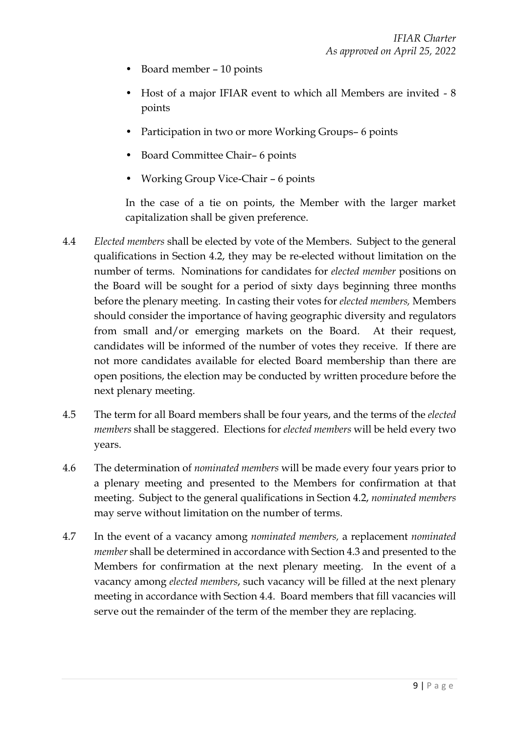- Board member 10 points
- Host of a major IFIAR event to which all Members are invited 8 points
- Participation in two or more Working Groups– 6 points
- Board Committee Chair– 6 points
- Working Group Vice-Chair 6 points

In the case of a tie on points, the Member with the larger market capitalization shall be given preference.

- 4.4 *Elected members* shall be elected by vote of the Members. Subject to the general qualifications in Section 4.2, they may be re-elected without limitation on the number of terms. Nominations for candidates for *elected member* positions on the Board will be sought for a period of sixty days beginning three months before the plenary meeting. In casting their votes for *elected members,* Members should consider the importance of having geographic diversity and regulators from small and/or emerging markets on the Board. At their request, candidates will be informed of the number of votes they receive. If there are not more candidates available for elected Board membership than there are open positions, the election may be conducted by written procedure before the next plenary meeting.
- 4.5 The term for all Board members shall be four years, and the terms of the *elected members* shall be staggered. Elections for *elected members* will be held every two years.
- 4.6 The determination of *nominated members* will be made every four years prior to a plenary meeting and presented to the Members for confirmation at that meeting. Subject to the general qualifications in Section 4.2, *nominated members* may serve without limitation on the number of terms.
- 4.7 In the event of a vacancy among *nominated members,* a replacement *nominated member* shall be determined in accordance with Section 4.3 and presented to the Members for confirmation at the next plenary meeting. In the event of a vacancy among *elected members*, such vacancy will be filled at the next plenary meeting in accordance with Section 4.4. Board members that fill vacancies will serve out the remainder of the term of the member they are replacing.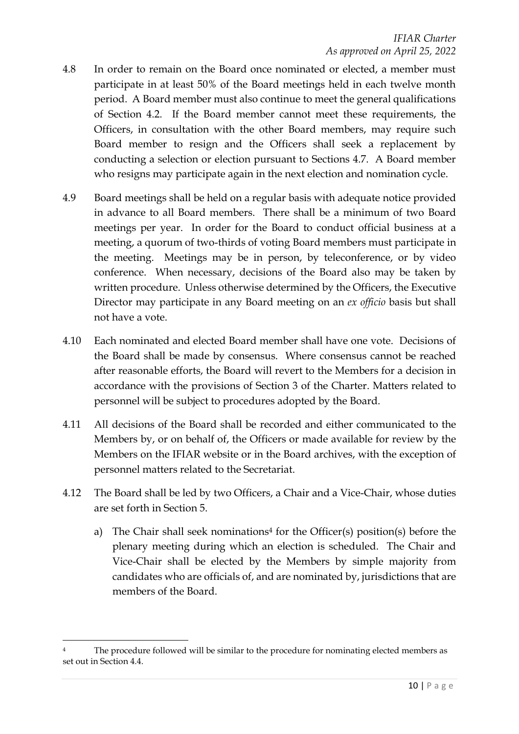- 4.8 In order to remain on the Board once nominated or elected, a member must participate in at least 50% of the Board meetings held in each twelve month period. A Board member must also continue to meet the general qualifications of Section 4.2. If the Board member cannot meet these requirements, the Officers, in consultation with the other Board members, may require such Board member to resign and the Officers shall seek a replacement by conducting a selection or election pursuant to Sections 4.7. A Board member who resigns may participate again in the next election and nomination cycle.
- 4.9 Board meetings shall be held on a regular basis with adequate notice provided in advance to all Board members. There shall be a minimum of two Board meetings per year. In order for the Board to conduct official business at a meeting, a quorum of two-thirds of voting Board members must participate in the meeting. Meetings may be in person, by teleconference, or by video conference. When necessary, decisions of the Board also may be taken by written procedure. Unless otherwise determined by the Officers, the Executive Director may participate in any Board meeting on an *ex officio* basis but shall not have a vote.
- 4.10 Each nominated and elected Board member shall have one vote. Decisions of the Board shall be made by consensus. Where consensus cannot be reached after reasonable efforts, the Board will revert to the Members for a decision in accordance with the provisions of Section 3 of the Charter. Matters related to personnel will be subject to procedures adopted by the Board.
- 4.11 All decisions of the Board shall be recorded and either communicated to the Members by, or on behalf of, the Officers or made available for review by the Members on the IFIAR website or in the Board archives, with the exception of personnel matters related to the Secretariat.
- 4.12 The Board shall be led by two Officers, a Chair and a Vice-Chair, whose duties are set forth in Section 5.
	- a) The Chair shall seek nominations<sup>4</sup> for the Officer(s) position(s) before the plenary meeting during which an election is scheduled. The Chair and Vice-Chair shall be elected by the Members by simple majority from candidates who are officials of, and are nominated by, jurisdictions that are members of the Board.

The procedure followed will be similar to the procedure for nominating elected members as set out in Section 4.4.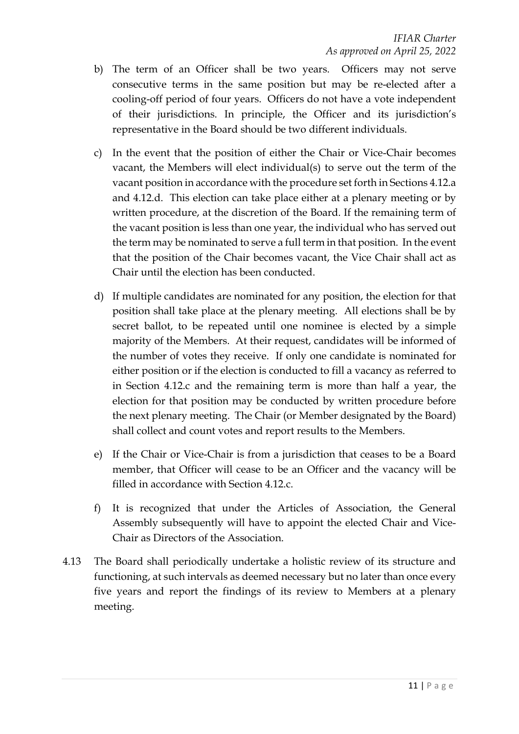- b) The term of an Officer shall be two years. Officers may not serve consecutive terms in the same position but may be re-elected after a cooling-off period of four years. Officers do not have a vote independent of their jurisdictions. In principle, the Officer and its jurisdiction's representative in the Board should be two different individuals.
- c) In the event that the position of either the Chair or Vice-Chair becomes vacant, the Members will elect individual(s) to serve out the term of the vacant position in accordance with the procedure set forth in Sections 4.12.a and 4.12.d. This election can take place either at a plenary meeting or by written procedure, at the discretion of the Board. If the remaining term of the vacant position is less than one year, the individual who has served out the term may be nominated to serve a full term in that position. In the event that the position of the Chair becomes vacant, the Vice Chair shall act as Chair until the election has been conducted.
- d) If multiple candidates are nominated for any position, the election for that position shall take place at the plenary meeting. All elections shall be by secret ballot, to be repeated until one nominee is elected by a simple majority of the Members. At their request, candidates will be informed of the number of votes they receive. If only one candidate is nominated for either position or if the election is conducted to fill a vacancy as referred to in Section 4.12.c and the remaining term is more than half a year, the election for that position may be conducted by written procedure before the next plenary meeting. The Chair (or Member designated by the Board) shall collect and count votes and report results to the Members.
- e) If the Chair or Vice-Chair is from a jurisdiction that ceases to be a Board member, that Officer will cease to be an Officer and the vacancy will be filled in accordance with Section 4.12.c.
- f) It is recognized that under the Articles of Association, the General Assembly subsequently will have to appoint the elected Chair and Vice-Chair as Directors of the Association.
- 4.13 The Board shall periodically undertake a holistic review of its structure and functioning, at such intervals as deemed necessary but no later than once every five years and report the findings of its review to Members at a plenary meeting.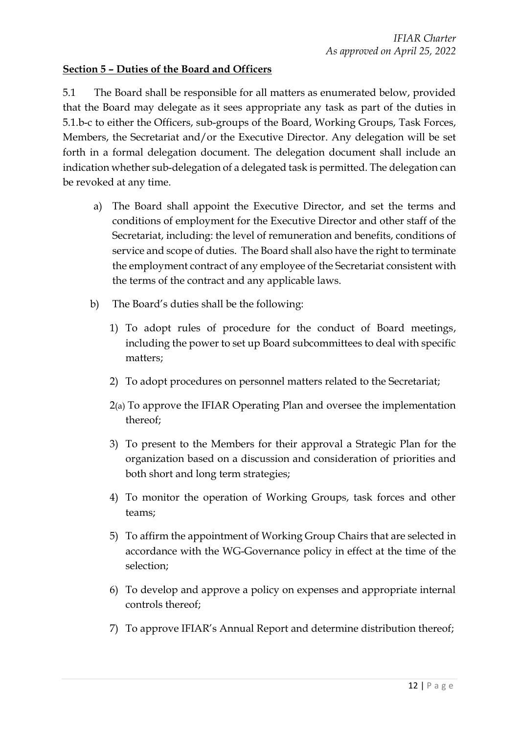## **Section 5 – Duties of the Board and Officers**

5.1 The Board shall be responsible for all matters as enumerated below, provided that the Board may delegate as it sees appropriate any task as part of the duties in 5.1.b-c to either the Officers, sub-groups of the Board, Working Groups, Task Forces, Members, the Secretariat and/or the Executive Director. Any delegation will be set forth in a formal delegation document. The delegation document shall include an indication whether sub-delegation of a delegated task is permitted. The delegation can be revoked at any time.

- a) The Board shall appoint the Executive Director, and set the terms and conditions of employment for the Executive Director and other staff of the Secretariat, including: the level of remuneration and benefits, conditions of service and scope of duties. The Board shall also have the right to terminate the employment contract of any employee of the Secretariat consistent with the terms of the contract and any applicable laws.
- b) The Board's duties shall be the following:
	- 1) To adopt rules of procedure for the conduct of Board meetings, including the power to set up Board subcommittees to deal with specific matters;
	- 2) To adopt procedures on personnel matters related to the Secretariat;
	- 2(a) To approve the IFIAR Operating Plan and oversee the implementation thereof;
	- 3) To present to the Members for their approval a Strategic Plan for the organization based on a discussion and consideration of priorities and both short and long term strategies;
	- 4) To monitor the operation of Working Groups, task forces and other teams;
	- 5) To affirm the appointment of Working Group Chairs that are selected in accordance with the WG-Governance policy in effect at the time of the selection;
	- 6) To develop and approve a policy on expenses and appropriate internal controls thereof;
	- 7) To approve IFIAR's Annual Report and determine distribution thereof;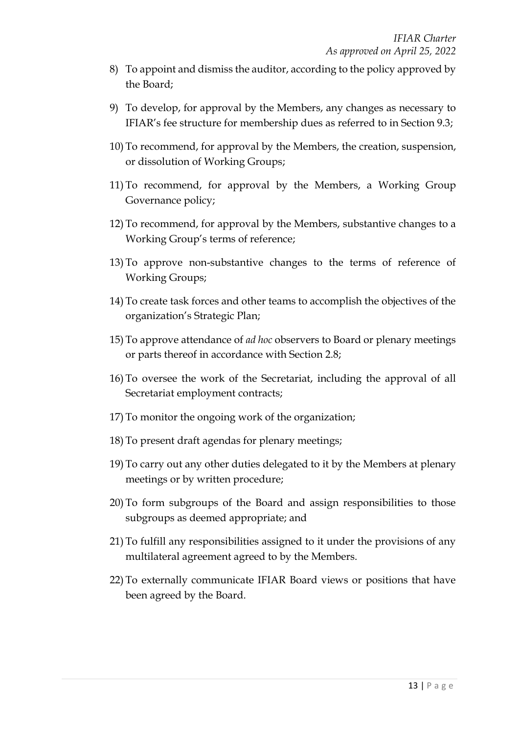- 8) To appoint and dismiss the auditor, according to the policy approved by the Board;
- 9) To develop, for approval by the Members, any changes as necessary to IFIAR's fee structure for membership dues as referred to in Section 9.3;
- 10) To recommend, for approval by the Members, the creation, suspension, or dissolution of Working Groups;
- 11) To recommend, for approval by the Members, a Working Group Governance policy;
- 12) To recommend, for approval by the Members, substantive changes to a Working Group's terms of reference;
- 13) To approve non-substantive changes to the terms of reference of Working Groups;
- 14) To create task forces and other teams to accomplish the objectives of the organization's Strategic Plan;
- 15) To approve attendance of *ad hoc* observers to Board or plenary meetings or parts thereof in accordance with Section 2.8;
- 16) To oversee the work of the Secretariat, including the approval of all Secretariat employment contracts;
- 17) To monitor the ongoing work of the organization;
- 18) To present draft agendas for plenary meetings;
- 19) To carry out any other duties delegated to it by the Members at plenary meetings or by written procedure;
- 20) To form subgroups of the Board and assign responsibilities to those subgroups as deemed appropriate; and
- 21) To fulfill any responsibilities assigned to it under the provisions of any multilateral agreement agreed to by the Members.
- 22) To externally communicate IFIAR Board views or positions that have been agreed by the Board.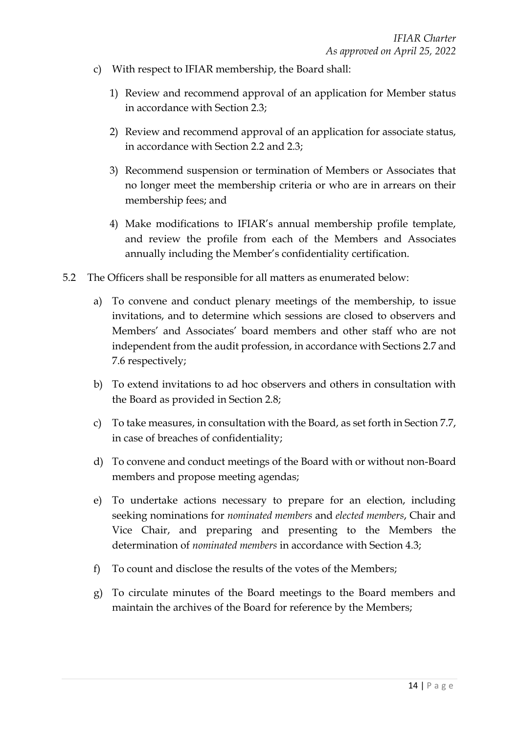- c) With respect to IFIAR membership, the Board shall:
	- 1) Review and recommend approval of an application for Member status in accordance with Section 2.3;
	- 2) Review and recommend approval of an application for associate status, in accordance with Section 2.2 and 2.3;
	- 3) Recommend suspension or termination of Members or Associates that no longer meet the membership criteria or who are in arrears on their membership fees; and
	- 4) Make modifications to IFIAR's annual membership profile template, and review the profile from each of the Members and Associates annually including the Member's confidentiality certification.
- 5.2 The Officers shall be responsible for all matters as enumerated below:
	- a) To convene and conduct plenary meetings of the membership, to issue invitations, and to determine which sessions are closed to observers and Members' and Associates' board members and other staff who are not independent from the audit profession, in accordance with Sections 2.7 and 7.6 respectively;
	- b) To extend invitations to ad hoc observers and others in consultation with the Board as provided in Section 2.8;
	- c) To take measures, in consultation with the Board, as set forth in Section 7.7, in case of breaches of confidentiality;
	- d) To convene and conduct meetings of the Board with or without non-Board members and propose meeting agendas;
	- e) To undertake actions necessary to prepare for an election, including seeking nominations for *nominated members* and *elected members*, Chair and Vice Chair, and preparing and presenting to the Members the determination of *nominated members* in accordance with Section 4.3;
	- f) To count and disclose the results of the votes of the Members;
	- g) To circulate minutes of the Board meetings to the Board members and maintain the archives of the Board for reference by the Members;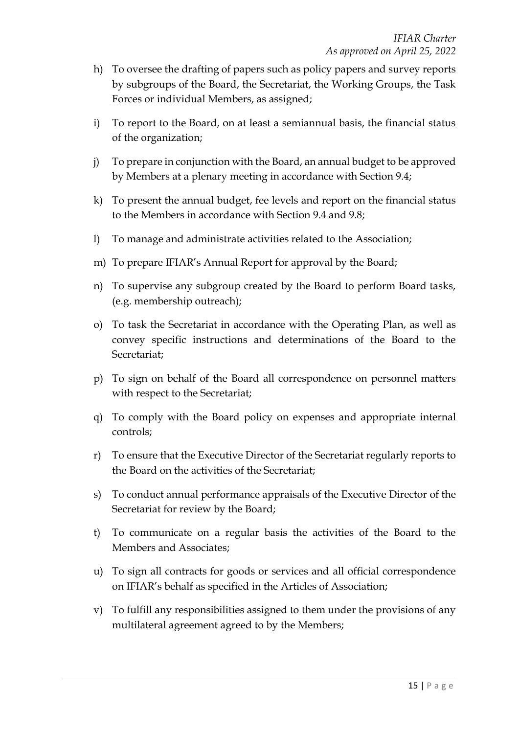- h) To oversee the drafting of papers such as policy papers and survey reports by subgroups of the Board, the Secretariat, the Working Groups, the Task Forces or individual Members, as assigned;
- i) To report to the Board, on at least a semiannual basis, the financial status of the organization;
- j) To prepare in conjunction with the Board, an annual budget to be approved by Members at a plenary meeting in accordance with Section 9.4;
- k) To present the annual budget, fee levels and report on the financial status to the Members in accordance with Section 9.4 and 9.8;
- l) To manage and administrate activities related to the Association;
- m) To prepare IFIAR's Annual Report for approval by the Board;
- n) To supervise any subgroup created by the Board to perform Board tasks, (e.g. membership outreach);
- o) To task the Secretariat in accordance with the Operating Plan, as well as convey specific instructions and determinations of the Board to the Secretariat;
- p) To sign on behalf of the Board all correspondence on personnel matters with respect to the Secretariat;
- q) To comply with the Board policy on expenses and appropriate internal controls;
- r) To ensure that the Executive Director of the Secretariat regularly reports to the Board on the activities of the Secretariat;
- s) To conduct annual performance appraisals of the Executive Director of the Secretariat for review by the Board;
- t) To communicate on a regular basis the activities of the Board to the Members and Associates;
- u) To sign all contracts for goods or services and all official correspondence on IFIAR's behalf as specified in the Articles of Association;
- v) To fulfill any responsibilities assigned to them under the provisions of any multilateral agreement agreed to by the Members;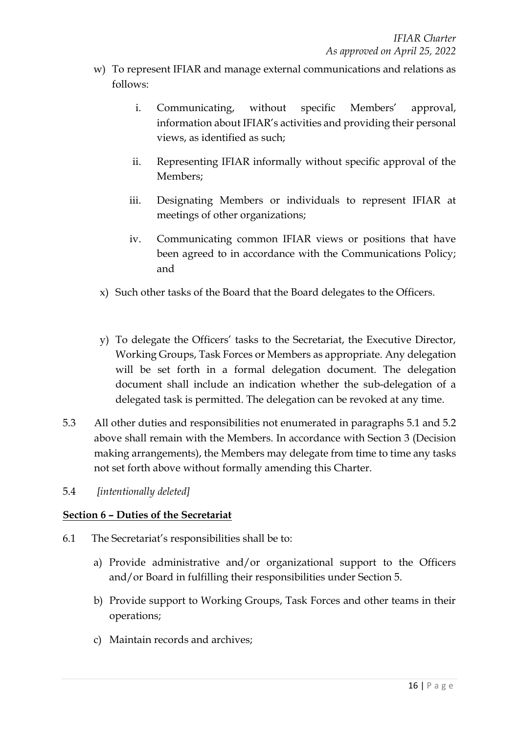- w) To represent IFIAR and manage external communications and relations as follows:
	- i. Communicating, without specific Members' approval, information about IFIAR's activities and providing their personal views, as identified as such;
	- ii. Representing IFIAR informally without specific approval of the Members;
	- iii. Designating Members or individuals to represent IFIAR at meetings of other organizations;
	- iv. Communicating common IFIAR views or positions that have been agreed to in accordance with the Communications Policy; and
	- x) Such other tasks of the Board that the Board delegates to the Officers.
	- y) To delegate the Officers' tasks to the Secretariat, the Executive Director, Working Groups, Task Forces or Members as appropriate. Any delegation will be set forth in a formal delegation document. The delegation document shall include an indication whether the sub-delegation of a delegated task is permitted. The delegation can be revoked at any time.
- 5.3 All other duties and responsibilities not enumerated in paragraphs 5.1 and 5.2 above shall remain with the Members. In accordance with Section 3 (Decision making arrangements), the Members may delegate from time to time any tasks not set forth above without formally amending this Charter.
- 5.4 *[intentionally deleted]*

## **Section 6 – Duties of the Secretariat**

- 6.1 The Secretariat's responsibilities shall be to:
	- a) Provide administrative and/or organizational support to the Officers and/or Board in fulfilling their responsibilities under Section 5.
	- b) Provide support to Working Groups, Task Forces and other teams in their operations;
	- c) Maintain records and archives;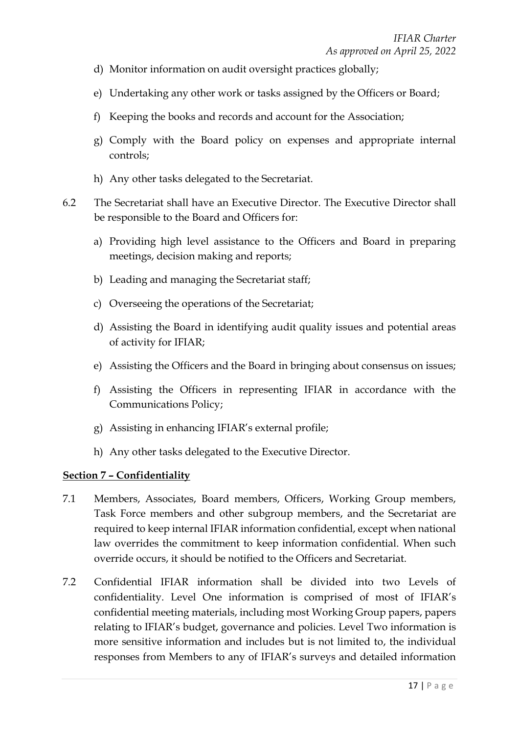- d) Monitor information on audit oversight practices globally;
- e) Undertaking any other work or tasks assigned by the Officers or Board;
- f) Keeping the books and records and account for the Association;
- g) Comply with the Board policy on expenses and appropriate internal controls;
- h) Any other tasks delegated to the Secretariat.
- 6.2 The Secretariat shall have an Executive Director. The Executive Director shall be responsible to the Board and Officers for:
	- a) Providing high level assistance to the Officers and Board in preparing meetings, decision making and reports;
	- b) Leading and managing the Secretariat staff;
	- c) Overseeing the operations of the Secretariat;
	- d) Assisting the Board in identifying audit quality issues and potential areas of activity for IFIAR;
	- e) Assisting the Officers and the Board in bringing about consensus on issues;
	- f) Assisting the Officers in representing IFIAR in accordance with the Communications Policy;
	- g) Assisting in enhancing IFIAR's external profile;
	- h) Any other tasks delegated to the Executive Director.

## **Section 7 – Confidentiality**

- 7.1 Members, Associates, Board members, Officers, Working Group members, Task Force members and other subgroup members, and the Secretariat are required to keep internal IFIAR information confidential, except when national law overrides the commitment to keep information confidential. When such override occurs, it should be notified to the Officers and Secretariat.
- 7.2 Confidential IFIAR information shall be divided into two Levels of confidentiality. Level One information is comprised of most of IFIAR's confidential meeting materials, including most Working Group papers, papers relating to IFIAR's budget, governance and policies. Level Two information is more sensitive information and includes but is not limited to, the individual responses from Members to any of IFIAR's surveys and detailed information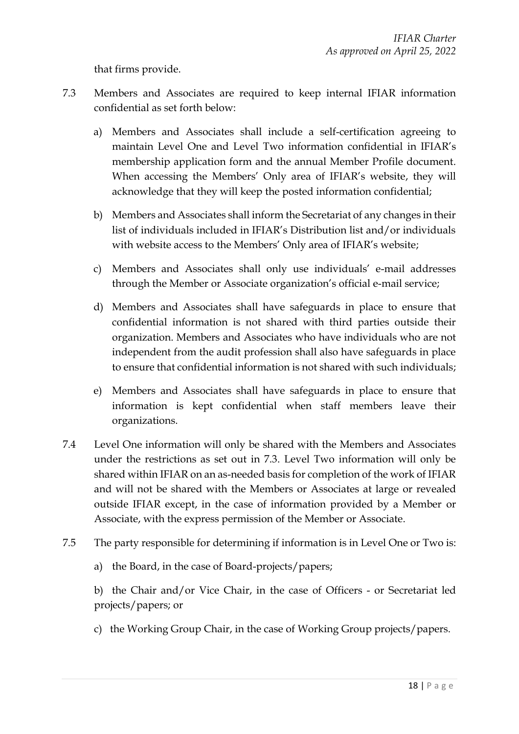that firms provide.

- 7.3 Members and Associates are required to keep internal IFIAR information confidential as set forth below:
	- a) Members and Associates shall include a self-certification agreeing to maintain Level One and Level Two information confidential in IFIAR's membership application form and the annual Member Profile document. When accessing the Members' Only area of IFIAR's website, they will acknowledge that they will keep the posted information confidential;
	- b) Members and Associates shall inform the Secretariat of any changes in their list of individuals included in IFIAR's Distribution list and/or individuals with website access to the Members' Only area of IFIAR's website;
	- c) Members and Associates shall only use individuals' e-mail addresses through the Member or Associate organization's official e-mail service;
	- d) Members and Associates shall have safeguards in place to ensure that confidential information is not shared with third parties outside their organization. Members and Associates who have individuals who are not independent from the audit profession shall also have safeguards in place to ensure that confidential information is not shared with such individuals;
	- e) Members and Associates shall have safeguards in place to ensure that information is kept confidential when staff members leave their organizations.
- 7.4 Level One information will only be shared with the Members and Associates under the restrictions as set out in 7.3. Level Two information will only be shared within IFIAR on an as-needed basis for completion of the work of IFIAR and will not be shared with the Members or Associates at large or revealed outside IFIAR except, in the case of information provided by a Member or Associate, with the express permission of the Member or Associate.
- 7.5 The party responsible for determining if information is in Level One or Two is:
	- a) the Board, in the case of Board-projects/papers;

b) the Chair and/or Vice Chair, in the case of Officers - or Secretariat led projects/papers; or

c) the Working Group Chair, in the case of Working Group projects/papers.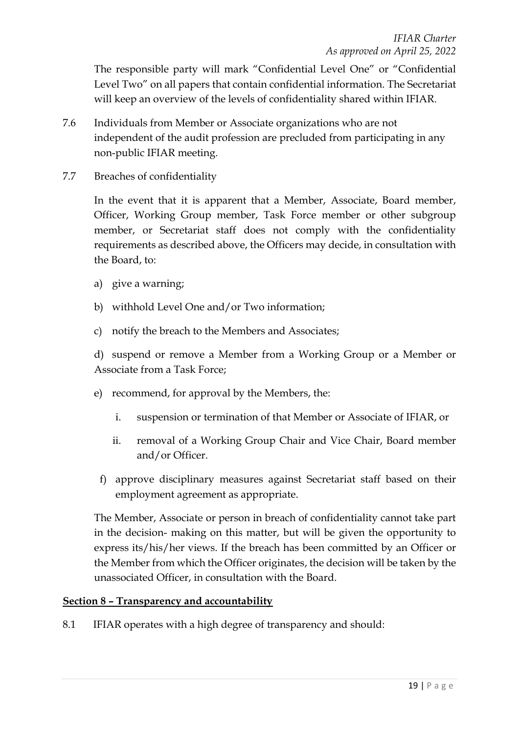The responsible party will mark "Confidential Level One" or "Confidential Level Two" on all papers that contain confidential information. The Secretariat will keep an overview of the levels of confidentiality shared within IFIAR.

- 7.6 Individuals from Member or Associate organizations who are not independent of the audit profession are precluded from participating in any non-public IFIAR meeting.
- 7.7 Breaches of confidentiality

In the event that it is apparent that a Member, Associate, Board member, Officer, Working Group member, Task Force member or other subgroup member, or Secretariat staff does not comply with the confidentiality requirements as described above, the Officers may decide, in consultation with the Board, to:

- a) give a warning;
- b) withhold Level One and/or Two information;
- c) notify the breach to the Members and Associates;

d) suspend or remove a Member from a Working Group or a Member or Associate from a Task Force;

- e) recommend, for approval by the Members, the:
	- i. suspension or termination of that Member or Associate of IFIAR, or
	- ii. removal of a Working Group Chair and Vice Chair, Board member and/or Officer.
	- f) approve disciplinary measures against Secretariat staff based on their employment agreement as appropriate.

The Member, Associate or person in breach of confidentiality cannot take part in the decision- making on this matter, but will be given the opportunity to express its/his/her views. If the breach has been committed by an Officer or the Member from which the Officer originates, the decision will be taken by the unassociated Officer, in consultation with the Board.

#### **Section 8 – Transparency and accountability**

8.1 IFIAR operates with a high degree of transparency and should: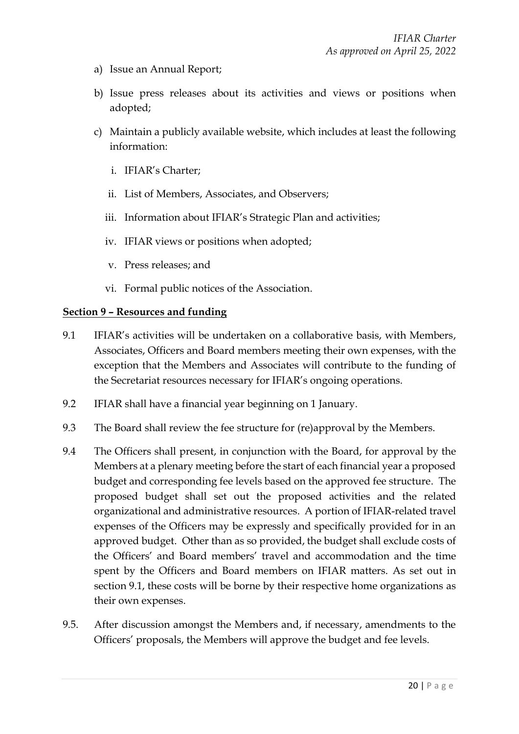- a) Issue an Annual Report;
- b) Issue press releases about its activities and views or positions when adopted;
- c) Maintain a publicly available website, which includes at least the following information:
	- i. IFIAR's Charter;
	- ii. List of Members, Associates, and Observers;
	- iii. Information about IFIAR's Strategic Plan and activities;
	- iv. IFIAR views or positions when adopted;
	- v. Press releases; and
	- vi. Formal public notices of the Association.

#### **Section 9 – Resources and funding**

- 9.1 IFIAR's activities will be undertaken on a collaborative basis, with Members, Associates, Officers and Board members meeting their own expenses, with the exception that the Members and Associates will contribute to the funding of the Secretariat resources necessary for IFIAR's ongoing operations.
- 9.2 IFIAR shall have a financial year beginning on 1 January.
- 9.3 The Board shall review the fee structure for (re)approval by the Members.
- 9.4 The Officers shall present, in conjunction with the Board, for approval by the Members at a plenary meeting before the start of each financial year a proposed budget and corresponding fee levels based on the approved fee structure. The proposed budget shall set out the proposed activities and the related organizational and administrative resources. A portion of IFIAR-related travel expenses of the Officers may be expressly and specifically provided for in an approved budget. Other than as so provided, the budget shall exclude costs of the Officers' and Board members' travel and accommodation and the time spent by the Officers and Board members on IFIAR matters. As set out in section 9.1, these costs will be borne by their respective home organizations as their own expenses.
- 9.5. After discussion amongst the Members and, if necessary, amendments to the Officers' proposals, the Members will approve the budget and fee levels.